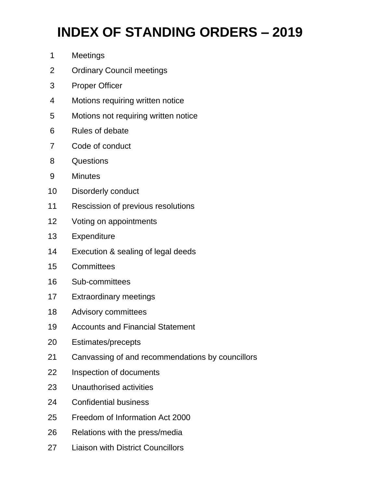## **INDEX OF STANDING ORDERS – 2019**

- Meetings
- Ordinary Council meetings
- Proper Officer
- Motions requiring written notice
- Motions not requiring written notice
- Rules of debate
- Code of conduct
- Questions
- Minutes
- Disorderly conduct
- Rescission of previous resolutions
- Voting on appointments
- Expenditure
- Execution & sealing of legal deeds
- Committees
- Sub-committees
- Extraordinary meetings
- Advisory committees
- Accounts and Financial Statement
- Estimates/precepts
- Canvassing of and recommendations by councillors
- Inspection of documents
- Unauthorised activities
- Confidential business
- Freedom of Information Act 2000
- Relations with the press/media
- Liaison with District Councillors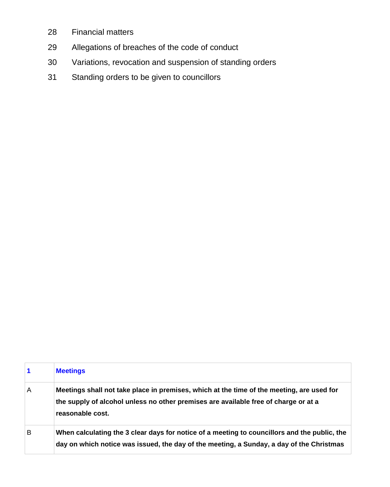- 28 Financial matters
- 29 Allegations of breaches of the code of conduct
- 30 Variations, revocation and suspension of standing orders
- 31 Standing orders to be given to councillors

| 1 | <b>Meetings</b>                                                                                                                                                                                      |
|---|------------------------------------------------------------------------------------------------------------------------------------------------------------------------------------------------------|
| Α | Meetings shall not take place in premises, which at the time of the meeting, are used for<br>the supply of alcohol unless no other premises are available free of charge or at a<br>reasonable cost. |
| B | When calculating the 3 clear days for notice of a meeting to councillors and the public, the<br>day on which notice was issued, the day of the meeting, a Sunday, a day of the Christmas             |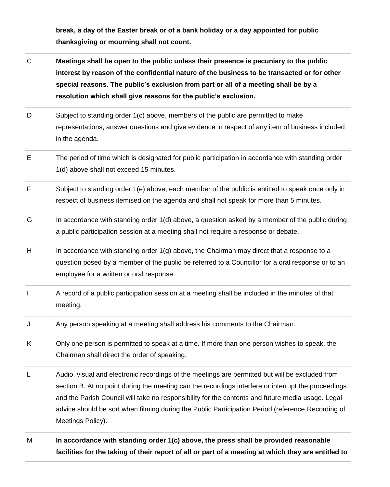|              | break, a day of the Easter break or of a bank holiday or a day appointed for public<br>thanksgiving or mourning shall not count.                                                                                                                                                                                                                                                                                                      |
|--------------|---------------------------------------------------------------------------------------------------------------------------------------------------------------------------------------------------------------------------------------------------------------------------------------------------------------------------------------------------------------------------------------------------------------------------------------|
| $\mathsf{C}$ | Meetings shall be open to the public unless their presence is pecuniary to the public<br>interest by reason of the confidential nature of the business to be transacted or for other<br>special reasons. The public's exclusion from part or all of a meeting shall be by a<br>resolution which shall give reasons for the public's exclusion.                                                                                        |
| D            | Subject to standing order 1(c) above, members of the public are permitted to make<br>representations, answer questions and give evidence in respect of any item of business included<br>in the agenda.                                                                                                                                                                                                                                |
| Е            | The period of time which is designated for public-participation in accordance with standing order<br>1(d) above shall not exceed 15 minutes.                                                                                                                                                                                                                                                                                          |
| F            | Subject to standing order 1(e) above, each member of the public is entitled to speak once only in<br>respect of business itemised on the agenda and shall not speak for more than 5 minutes.                                                                                                                                                                                                                                          |
| G            | In accordance with standing order 1(d) above, a question asked by a member of the public during<br>a public participation session at a meeting shall not require a response or debate.                                                                                                                                                                                                                                                |
| H            | In accordance with standing order $1(g)$ above, the Chairman may direct that a response to a<br>question posed by a member of the public be referred to a Councillor for a oral response or to an<br>employee for a written or oral response.                                                                                                                                                                                         |
| $\mathbf{I}$ | A record of a public participation session at a meeting shall be included in the minutes of that<br>meeting.                                                                                                                                                                                                                                                                                                                          |
| J            | Any person speaking at a meeting shall address his comments to the Chairman.                                                                                                                                                                                                                                                                                                                                                          |
| Κ            | Only one person is permitted to speak at a time. If more than one person wishes to speak, the<br>Chairman shall direct the order of speaking.                                                                                                                                                                                                                                                                                         |
| L            | Audio, visual and electronic recordings of the meetings are permitted but will be excluded from<br>section B. At no point during the meeting can the recordings interfere or interrupt the proceedings<br>and the Parish Council will take no responsibility for the contents and future media usage. Legal<br>advice should be sort when filming during the Public Participation Period (reference Recording of<br>Meetings Policy). |
| M            | In accordance with standing order 1(c) above, the press shall be provided reasonable<br>facilities for the taking of their report of all or part of a meeting at which they are entitled to                                                                                                                                                                                                                                           |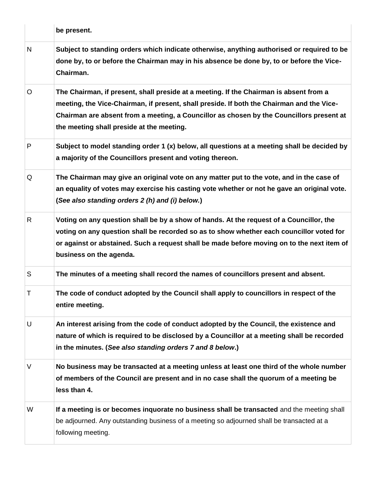|   | be present.                                                                                                                                                                                                                                                                                                                  |
|---|------------------------------------------------------------------------------------------------------------------------------------------------------------------------------------------------------------------------------------------------------------------------------------------------------------------------------|
| N | Subject to standing orders which indicate otherwise, anything authorised or required to be<br>done by, to or before the Chairman may in his absence be done by, to or before the Vice-<br>Chairman.                                                                                                                          |
| O | The Chairman, if present, shall preside at a meeting. If the Chairman is absent from a<br>meeting, the Vice-Chairman, if present, shall preside. If both the Chairman and the Vice-<br>Chairman are absent from a meeting, a Councillor as chosen by the Councillors present at<br>the meeting shall preside at the meeting. |
| P | Subject to model standing order 1 (x) below, all questions at a meeting shall be decided by<br>a majority of the Councillors present and voting thereon.                                                                                                                                                                     |
| Q | The Chairman may give an original vote on any matter put to the vote, and in the case of<br>an equality of votes may exercise his casting vote whether or not he gave an original vote.<br>(See also standing orders 2 (h) and (i) below.)                                                                                   |
| R | Voting on any question shall be by a show of hands. At the request of a Councillor, the<br>voting on any question shall be recorded so as to show whether each councillor voted for<br>or against or abstained. Such a request shall be made before moving on to the next item of<br>business on the agenda.                 |
| S | The minutes of a meeting shall record the names of councillors present and absent.                                                                                                                                                                                                                                           |
| Τ | The code of conduct adopted by the Council shall apply to councillors in respect of the<br>entire meeting.                                                                                                                                                                                                                   |
| U | An interest arising from the code of conduct adopted by the Council, the existence and<br>nature of which is required to be disclosed by a Councillor at a meeting shall be recorded<br>in the minutes. (See also standing orders 7 and 8 below.)                                                                            |
| V | No business may be transacted at a meeting unless at least one third of the whole number<br>of members of the Council are present and in no case shall the quorum of a meeting be<br>less than 4.                                                                                                                            |
| W | If a meeting is or becomes inquorate no business shall be transacted and the meeting shall<br>be adjourned. Any outstanding business of a meeting so adjourned shall be transacted at a<br>following meeting.                                                                                                                |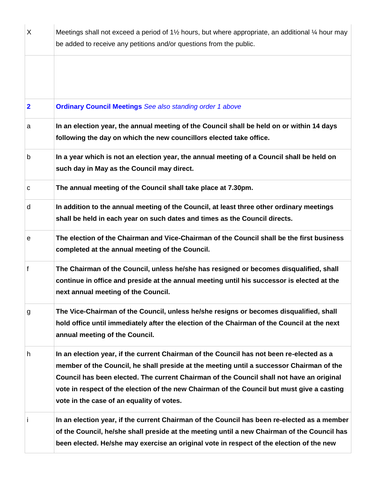| X                       | Meetings shall not exceed a period of 11/2 hours, but where appropriate, an additional 1/4 hour may<br>be added to receive any petitions and/or questions from the public.                                                                                                                                                                                                                                                  |
|-------------------------|-----------------------------------------------------------------------------------------------------------------------------------------------------------------------------------------------------------------------------------------------------------------------------------------------------------------------------------------------------------------------------------------------------------------------------|
|                         |                                                                                                                                                                                                                                                                                                                                                                                                                             |
| $\overline{\mathbf{2}}$ | <b>Ordinary Council Meetings</b> See also standing order 1 above                                                                                                                                                                                                                                                                                                                                                            |
| a                       | In an election year, the annual meeting of the Council shall be held on or within 14 days<br>following the day on which the new councillors elected take office.                                                                                                                                                                                                                                                            |
| b                       | In a year which is not an election year, the annual meeting of a Council shall be held on<br>such day in May as the Council may direct.                                                                                                                                                                                                                                                                                     |
| С                       | The annual meeting of the Council shall take place at 7.30pm.                                                                                                                                                                                                                                                                                                                                                               |
| d                       | In addition to the annual meeting of the Council, at least three other ordinary meetings<br>shall be held in each year on such dates and times as the Council directs.                                                                                                                                                                                                                                                      |
| е                       | The election of the Chairman and Vice-Chairman of the Council shall be the first business<br>completed at the annual meeting of the Council.                                                                                                                                                                                                                                                                                |
| f                       | The Chairman of the Council, unless he/she has resigned or becomes disqualified, shall<br>continue in office and preside at the annual meeting until his successor is elected at the<br>next annual meeting of the Council.                                                                                                                                                                                                 |
| g                       | The Vice-Chairman of the Council, unless he/she resigns or becomes disqualified, shall<br>hold office until immediately after the election of the Chairman of the Council at the next<br>annual meeting of the Council.                                                                                                                                                                                                     |
| h                       | In an election year, if the current Chairman of the Council has not been re-elected as a<br>member of the Council, he shall preside at the meeting until a successor Chairman of the<br>Council has been elected. The current Chairman of the Council shall not have an original<br>vote in respect of the election of the new Chairman of the Council but must give a casting<br>vote in the case of an equality of votes. |
|                         | In an election year, if the current Chairman of the Council has been re-elected as a member<br>of the Council, he/she shall preside at the meeting until a new Chairman of the Council has<br>been elected. He/she may exercise an original vote in respect of the election of the new                                                                                                                                      |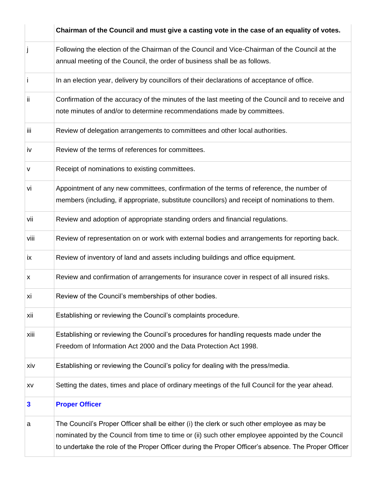|              | Chairman of the Council and must give a casting vote in the case of an equality of votes.                                                                                                                                                                                                             |
|--------------|-------------------------------------------------------------------------------------------------------------------------------------------------------------------------------------------------------------------------------------------------------------------------------------------------------|
|              | Following the election of the Chairman of the Council and Vice-Chairman of the Council at the<br>annual meeting of the Council, the order of business shall be as follows.                                                                                                                            |
| Ť            | In an election year, delivery by councillors of their declarations of acceptance of office.                                                                                                                                                                                                           |
| ïi           | Confirmation of the accuracy of the minutes of the last meeting of the Council and to receive and<br>note minutes of and/or to determine recommendations made by committees.                                                                                                                          |
| iii          | Review of delegation arrangements to committees and other local authorities.                                                                                                                                                                                                                          |
| .iv          | Review of the terms of references for committees.                                                                                                                                                                                                                                                     |
| v            | Receipt of nominations to existing committees.                                                                                                                                                                                                                                                        |
| vi           | Appointment of any new committees, confirmation of the terms of reference, the number of<br>members (including, if appropriate, substitute councillors) and receipt of nominations to them.                                                                                                           |
| vii          | Review and adoption of appropriate standing orders and financial regulations.                                                                                                                                                                                                                         |
| viii         | Review of representation on or work with external bodies and arrangements for reporting back.                                                                                                                                                                                                         |
| ix           | Review of inventory of land and assets including buildings and office equipment.                                                                                                                                                                                                                      |
| x            | Review and confirmation of arrangements for insurance cover in respect of all insured risks.                                                                                                                                                                                                          |
| xi           | Review of the Council's memberships of other bodies.                                                                                                                                                                                                                                                  |
| xii          | Establishing or reviewing the Council's complaints procedure.                                                                                                                                                                                                                                         |
| xiii         | Establishing or reviewing the Council's procedures for handling requests made under the<br>Freedom of Information Act 2000 and the Data Protection Act 1998.                                                                                                                                          |
| xiv          | Establishing or reviewing the Council's policy for dealing with the press/media.                                                                                                                                                                                                                      |
| XV           | Setting the dates, times and place of ordinary meetings of the full Council for the year ahead.                                                                                                                                                                                                       |
| $\mathbf{3}$ | <b>Proper Officer</b>                                                                                                                                                                                                                                                                                 |
| a            | The Council's Proper Officer shall be either (i) the clerk or such other employee as may be<br>nominated by the Council from time to time or (ii) such other employee appointed by the Council<br>to undertake the role of the Proper Officer during the Proper Officer's absence. The Proper Officer |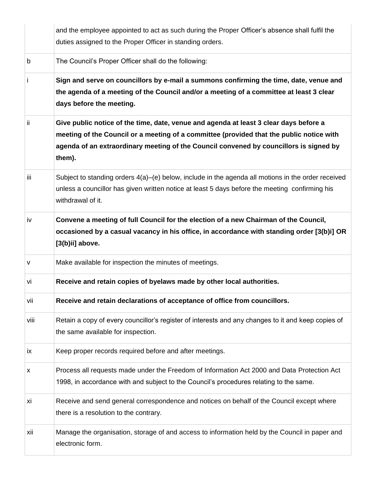|       | and the employee appointed to act as such during the Proper Officer's absence shall fulfil the<br>duties assigned to the Proper Officer in standing orders.                                                                                                                           |
|-------|---------------------------------------------------------------------------------------------------------------------------------------------------------------------------------------------------------------------------------------------------------------------------------------|
| b     | The Council's Proper Officer shall do the following:                                                                                                                                                                                                                                  |
| j     | Sign and serve on councillors by e-mail a summons confirming the time, date, venue and<br>the agenda of a meeting of the Council and/or a meeting of a committee at least 3 clear<br>days before the meeting.                                                                         |
| ۱ï    | Give public notice of the time, date, venue and agenda at least 3 clear days before a<br>meeting of the Council or a meeting of a committee (provided that the public notice with<br>agenda of an extraordinary meeting of the Council convened by councillors is signed by<br>them). |
| l iii | Subject to standing orders 4(a)–(e) below, include in the agenda all motions in the order received<br>unless a councillor has given written notice at least 5 days before the meeting confirming his<br>withdrawal of it.                                                             |
| iv    | Convene a meeting of full Council for the election of a new Chairman of the Council,<br>occasioned by a casual vacancy in his office, in accordance with standing order [3(b)i] OR<br>[3(b)ii] above.                                                                                 |
| V     | Make available for inspection the minutes of meetings.                                                                                                                                                                                                                                |
| vi    | Receive and retain copies of byelaws made by other local authorities.                                                                                                                                                                                                                 |
| vii   | Receive and retain declarations of acceptance of office from councillors.                                                                                                                                                                                                             |
| viii  | Retain a copy of every councillor's register of interests and any changes to it and keep copies of<br>the same available for inspection.                                                                                                                                              |
| ix    | Keep proper records required before and after meetings.                                                                                                                                                                                                                               |
| х     |                                                                                                                                                                                                                                                                                       |
|       | Process all requests made under the Freedom of Information Act 2000 and Data Protection Act<br>1998, in accordance with and subject to the Council's procedures relating to the same.                                                                                                 |
| хi    | Receive and send general correspondence and notices on behalf of the Council except where<br>there is a resolution to the contrary.                                                                                                                                                   |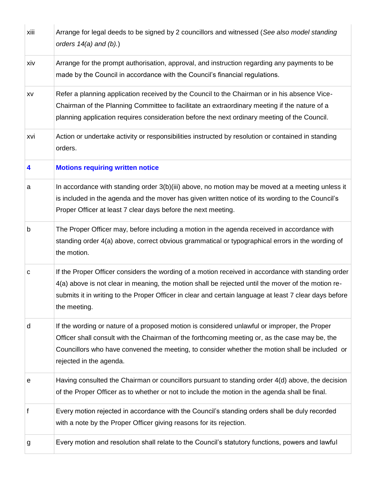| xiii | Arrange for legal deeds to be signed by 2 councillors and witnessed (See also model standing<br>orders $14(a)$ and $(b)$ .)                                                                                                                                                                                                        |
|------|------------------------------------------------------------------------------------------------------------------------------------------------------------------------------------------------------------------------------------------------------------------------------------------------------------------------------------|
| xiv  | Arrange for the prompt authorisation, approval, and instruction regarding any payments to be<br>made by the Council in accordance with the Council's financial regulations.                                                                                                                                                        |
| XV   | Refer a planning application received by the Council to the Chairman or in his absence Vice-<br>Chairman of the Planning Committee to facilitate an extraordinary meeting if the nature of a<br>planning application requires consideration before the next ordinary meeting of the Council.                                       |
| xvi  | Action or undertake activity or responsibilities instructed by resolution or contained in standing<br>orders.                                                                                                                                                                                                                      |
| 4    | <b>Motions requiring written notice</b>                                                                                                                                                                                                                                                                                            |
| a    | In accordance with standing order 3(b)(iii) above, no motion may be moved at a meeting unless it<br>is included in the agenda and the mover has given written notice of its wording to the Council's<br>Proper Officer at least 7 clear days before the next meeting.                                                              |
| b    | The Proper Officer may, before including a motion in the agenda received in accordance with<br>standing order 4(a) above, correct obvious grammatical or typographical errors in the wording of<br>the motion.                                                                                                                     |
| с    | If the Proper Officer considers the wording of a motion received in accordance with standing order<br>4(a) above is not clear in meaning, the motion shall be rejected until the mover of the motion re-<br>submits it in writing to the Proper Officer in clear and certain language at least 7 clear days before<br>the meeting. |
| d    | If the wording or nature of a proposed motion is considered unlawful or improper, the Proper<br>Officer shall consult with the Chairman of the forthcoming meeting or, as the case may be, the<br>Councillors who have convened the meeting, to consider whether the motion shall be included or<br>rejected in the agenda.        |
| е    | Having consulted the Chairman or councillors pursuant to standing order 4(d) above, the decision<br>of the Proper Officer as to whether or not to include the motion in the agenda shall be final.                                                                                                                                 |
| f    | Every motion rejected in accordance with the Council's standing orders shall be duly recorded<br>with a note by the Proper Officer giving reasons for its rejection.                                                                                                                                                               |
| g    | Every motion and resolution shall relate to the Council's statutory functions, powers and lawful                                                                                                                                                                                                                                   |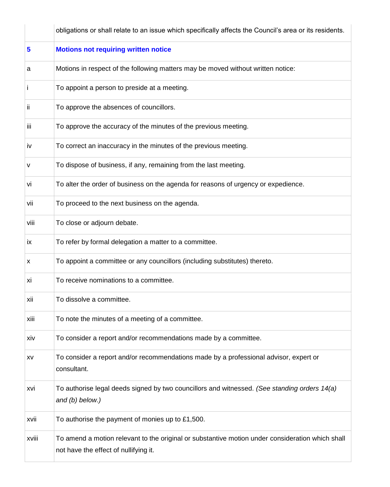|       | obligations or shall relate to an issue which specifically affects the Council's area or its residents.                                   |
|-------|-------------------------------------------------------------------------------------------------------------------------------------------|
| 5     | <b>Motions not requiring written notice</b>                                                                                               |
| a     | Motions in respect of the following matters may be moved without written notice:                                                          |
| Ť     | To appoint a person to preside at a meeting.                                                                                              |
| Ϊİ    | To approve the absences of councillors.                                                                                                   |
| Ϊij   | To approve the accuracy of the minutes of the previous meeting.                                                                           |
| İV    | To correct an inaccuracy in the minutes of the previous meeting.                                                                          |
| v     | To dispose of business, if any, remaining from the last meeting.                                                                          |
| vi    | To alter the order of business on the agenda for reasons of urgency or expedience.                                                        |
| vii   | To proceed to the next business on the agenda.                                                                                            |
| Viii  | To close or adjourn debate.                                                                                                               |
| ix    | To refer by formal delegation a matter to a committee.                                                                                    |
| х     | To appoint a committee or any councillors (including substitutes) thereto.                                                                |
| Хİ    | To receive nominations to a committee.                                                                                                    |
| xii   | To dissolve a committee.                                                                                                                  |
| xiii  | To note the minutes of a meeting of a committee.                                                                                          |
| xiv   | To consider a report and/or recommendations made by a committee.                                                                          |
| XV    | To consider a report and/or recommendations made by a professional advisor, expert or<br>consultant.                                      |
| xvi   | To authorise legal deeds signed by two councillors and witnessed. (See standing orders 14(a)<br>and $(b)$ below.)                         |
| xvii  | To authorise the payment of monies up to £1,500.                                                                                          |
| xviii | To amend a motion relevant to the original or substantive motion under consideration which shall<br>not have the effect of nullifying it. |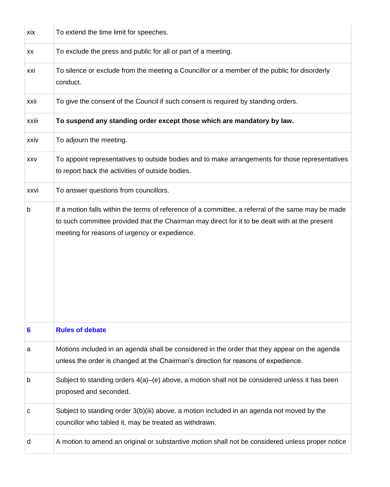| xix   | To extend the time limit for speeches.                                                                                                                                                                                                                |
|-------|-------------------------------------------------------------------------------------------------------------------------------------------------------------------------------------------------------------------------------------------------------|
| XX    | To exclude the press and public for all or part of a meeting.                                                                                                                                                                                         |
| XXİ   | To silence or exclude from the meeting a Councillor or a member of the public for disorderly<br>conduct.                                                                                                                                              |
| xxii  | To give the consent of the Council if such consent is required by standing orders.                                                                                                                                                                    |
| xxiii | To suspend any standing order except those which are mandatory by law.                                                                                                                                                                                |
| xxiv  | To adjourn the meeting.                                                                                                                                                                                                                               |
| XXV   | To appoint representatives to outside bodies and to make arrangements for those representatives<br>to report back the activities of outside bodies.                                                                                                   |
| xxvi  | To answer questions from councillors.                                                                                                                                                                                                                 |
| b     | If a motion falls within the terms of reference of a committee, a referral of the same may be made<br>to such committee provided that the Chairman may direct for it to be dealt with at the present<br>meeting for reasons of urgency or expedience. |
| 6     | <b>Rules of debate</b>                                                                                                                                                                                                                                |
| a     | Motions included in an agenda shall be considered in the order that they appear on the agenda<br>unless the order is changed at the Chairman's direction for reasons of expedience.                                                                   |
| b     | Subject to standing orders 4(a)–(e) above, a motion shall not be considered unless it has been<br>proposed and seconded.                                                                                                                              |
| с     | Subject to standing order 3(b)(iii) above, a motion included in an agenda not moved by the<br>councillor who tabled it, may be treated as withdrawn.                                                                                                  |
| d     | A motion to amend an original or substantive motion shall not be considered unless proper notice                                                                                                                                                      |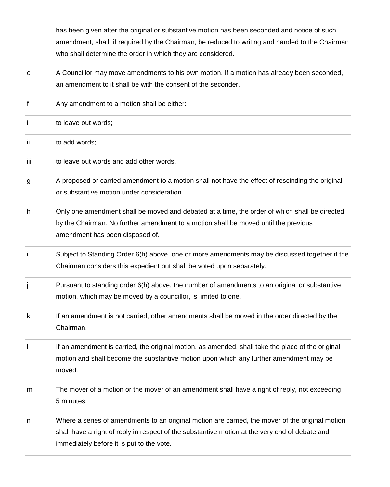|                 | has been given after the original or substantive motion has been seconded and notice of such<br>amendment, shall, if required by the Chairman, be reduced to writing and handed to the Chairman<br>who shall determine the order in which they are considered. |
|-----------------|----------------------------------------------------------------------------------------------------------------------------------------------------------------------------------------------------------------------------------------------------------------|
| е               | A Councillor may move amendments to his own motion. If a motion has already been seconded,<br>an amendment to it shall be with the consent of the seconder.                                                                                                    |
| $\vert f \vert$ | Any amendment to a motion shall be either:                                                                                                                                                                                                                     |
| Ħ               | to leave out words;                                                                                                                                                                                                                                            |
| İΪ              | to add words;                                                                                                                                                                                                                                                  |
| Πii             | to leave out words and add other words.                                                                                                                                                                                                                        |
| g               | A proposed or carried amendment to a motion shall not have the effect of rescinding the original<br>or substantive motion under consideration.                                                                                                                 |
| h               | Only one amendment shall be moved and debated at a time, the order of which shall be directed<br>by the Chairman. No further amendment to a motion shall be moved until the previous<br>amendment has been disposed of.                                        |
| ۱i              | Subject to Standing Order 6(h) above, one or more amendments may be discussed together if the<br>Chairman considers this expedient but shall be voted upon separately.                                                                                         |
| j               | Pursuant to standing order 6(h) above, the number of amendments to an original or substantive<br>motion, which may be moved by a councillor, is limited to one.                                                                                                |
| k               | If an amendment is not carried, other amendments shall be moved in the order directed by the<br>Chairman.                                                                                                                                                      |
|                 | If an amendment is carried, the original motion, as amended, shall take the place of the original<br>motion and shall become the substantive motion upon which any further amendment may be<br>moved.                                                          |
| m               | The mover of a motion or the mover of an amendment shall have a right of reply, not exceeding<br>5 minutes.                                                                                                                                                    |
| n               | Where a series of amendments to an original motion are carried, the mover of the original motion<br>shall have a right of reply in respect of the substantive motion at the very end of debate and<br>immediately before it is put to the vote.                |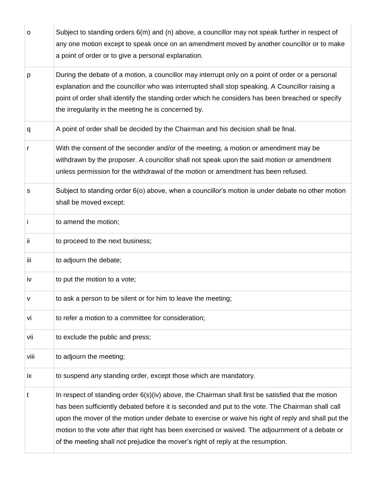| o    | Subject to standing orders $6(m)$ and $(n)$ above, a councillor may not speak further in respect of<br>any one motion except to speak once on an amendment moved by another councillor or to make<br>a point of order or to give a personal explanation.                                                                                                                                                                                                                                                |
|------|---------------------------------------------------------------------------------------------------------------------------------------------------------------------------------------------------------------------------------------------------------------------------------------------------------------------------------------------------------------------------------------------------------------------------------------------------------------------------------------------------------|
| p    | During the debate of a motion, a councillor may interrupt only on a point of order or a personal<br>explanation and the councillor who was interrupted shall stop speaking. A Councillor raising a<br>point of order shall identify the standing order which he considers has been breached or specify<br>the irregularity in the meeting he is concerned by.                                                                                                                                           |
| q    | A point of order shall be decided by the Chairman and his decision shall be final.                                                                                                                                                                                                                                                                                                                                                                                                                      |
| r    | With the consent of the seconder and/or of the meeting, a motion or amendment may be<br>withdrawn by the proposer. A councillor shall not speak upon the said motion or amendment<br>unless permission for the withdrawal of the motion or amendment has been refused.                                                                                                                                                                                                                                  |
| s    | Subject to standing order 6(o) above, when a councillor's motion is under debate no other motion<br>shall be moved except:                                                                                                                                                                                                                                                                                                                                                                              |
| j    | to amend the motion;                                                                                                                                                                                                                                                                                                                                                                                                                                                                                    |
| ii.  | to proceed to the next business;                                                                                                                                                                                                                                                                                                                                                                                                                                                                        |
| iii. | to adjourn the debate;                                                                                                                                                                                                                                                                                                                                                                                                                                                                                  |
| iv   | to put the motion to a vote;                                                                                                                                                                                                                                                                                                                                                                                                                                                                            |
| ۷    | to ask a person to be silent or for him to leave the meeting;                                                                                                                                                                                                                                                                                                                                                                                                                                           |
| Vİ   | to refer a motion to a committee for consideration;                                                                                                                                                                                                                                                                                                                                                                                                                                                     |
| vii  | to exclude the public and press;                                                                                                                                                                                                                                                                                                                                                                                                                                                                        |
| viii | to adjourn the meeting;                                                                                                                                                                                                                                                                                                                                                                                                                                                                                 |
| ix   | to suspend any standing order, except those which are mandatory.                                                                                                                                                                                                                                                                                                                                                                                                                                        |
| t    | In respect of standing order $6(s)(iv)$ above, the Chairman shall first be satisfied that the motion<br>has been sufficiently debated before it is seconded and put to the vote. The Chairman shall call<br>upon the mover of the motion under debate to exercise or waive his right of reply and shall put the<br>motion to the vote after that right has been exercised or waived. The adjournment of a debate or<br>of the meeting shall not prejudice the mover's right of reply at the resumption. |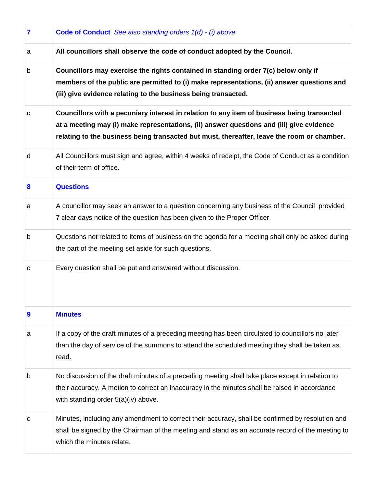| $\overline{7}$   | <b>Code of Conduct</b> See also standing orders 1(d) - (i) above                                                                                                                                                                                                                     |
|------------------|--------------------------------------------------------------------------------------------------------------------------------------------------------------------------------------------------------------------------------------------------------------------------------------|
| a                | All councillors shall observe the code of conduct adopted by the Council.                                                                                                                                                                                                            |
| b                | Councillors may exercise the rights contained in standing order 7(c) below only if<br>members of the public are permitted to (i) make representations, (ii) answer questions and<br>(iii) give evidence relating to the business being transacted.                                   |
| C                | Councillors with a pecuniary interest in relation to any item of business being transacted<br>at a meeting may (i) make representations, (ii) answer questions and (iii) give evidence<br>relating to the business being transacted but must, thereafter, leave the room or chamber. |
| d                | All Councillors must sign and agree, within 4 weeks of receipt, the Code of Conduct as a condition<br>of their term of office.                                                                                                                                                       |
| 8                | <b>Questions</b>                                                                                                                                                                                                                                                                     |
| a                | A councillor may seek an answer to a question concerning any business of the Council provided<br>7 clear days notice of the question has been given to the Proper Officer.                                                                                                           |
| b                | Questions not related to items of business on the agenda for a meeting shall only be asked during<br>the part of the meeting set aside for such questions.                                                                                                                           |
| c                | Every question shall be put and answered without discussion.                                                                                                                                                                                                                         |
| $\boldsymbol{9}$ | <b>Minutes</b>                                                                                                                                                                                                                                                                       |
| a                | If a copy of the draft minutes of a preceding meeting has been circulated to councillors no later<br>than the day of service of the summons to attend the scheduled meeting they shall be taken as<br>read.                                                                          |
| b                | No discussion of the draft minutes of a preceding meeting shall take place except in relation to<br>their accuracy. A motion to correct an inaccuracy in the minutes shall be raised in accordance<br>with standing order 5(a)(iv) above.                                            |
| с                | Minutes, including any amendment to correct their accuracy, shall be confirmed by resolution and<br>shall be signed by the Chairman of the meeting and stand as an accurate record of the meeting to<br>which the minutes relate.                                                    |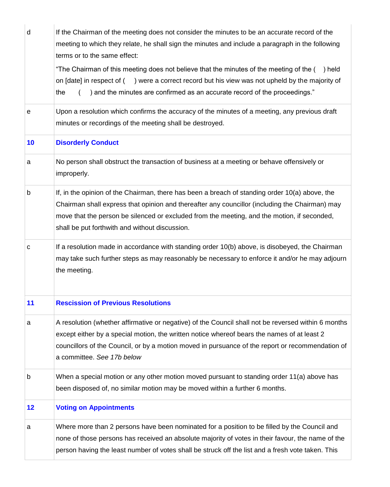| d  | If the Chairman of the meeting does not consider the minutes to be an accurate record of the<br>meeting to which they relate, he shall sign the minutes and include a paragraph in the following |
|----|--------------------------------------------------------------------------------------------------------------------------------------------------------------------------------------------------|
|    | terms or to the same effect:                                                                                                                                                                     |
|    | "The Chairman of this meeting does not believe that the minutes of the meeting of the (<br>) held                                                                                                |
|    | on [date] in respect of () were a correct record but his view was not upheld by the majority of                                                                                                  |
|    | ) and the minutes are confirmed as an accurate record of the proceedings."<br>the                                                                                                                |
| е  | Upon a resolution which confirms the accuracy of the minutes of a meeting, any previous draft                                                                                                    |
|    | minutes or recordings of the meeting shall be destroyed.                                                                                                                                         |
| 10 | <b>Disorderly Conduct</b>                                                                                                                                                                        |
| a  | No person shall obstruct the transaction of business at a meeting or behave offensively or                                                                                                       |
|    | improperly.                                                                                                                                                                                      |
| b  | If, in the opinion of the Chairman, there has been a breach of standing order 10(a) above, the                                                                                                   |
|    | Chairman shall express that opinion and thereafter any councillor (including the Chairman) may                                                                                                   |
|    | move that the person be silenced or excluded from the meeting, and the motion, if seconded,                                                                                                      |
|    | shall be put forthwith and without discussion.                                                                                                                                                   |
| с  | If a resolution made in accordance with standing order 10(b) above, is disobeyed, the Chairman                                                                                                   |
|    | may take such further steps as may reasonably be necessary to enforce it and/or he may adjourn                                                                                                   |
|    | the meeting.                                                                                                                                                                                     |
| 11 | <b>Rescission of Previous Resolutions</b>                                                                                                                                                        |
| a  | A resolution (whether affirmative or negative) of the Council shall not be reversed within 6 months                                                                                              |
|    | except either by a special motion, the written notice whereof bears the names of at least 2                                                                                                      |
|    | councillors of the Council, or by a motion moved in pursuance of the report or recommendation of                                                                                                 |
|    | a committee. See 17b below                                                                                                                                                                       |
| b  | When a special motion or any other motion moved pursuant to standing order 11(a) above has                                                                                                       |
|    | been disposed of, no similar motion may be moved within a further 6 months.                                                                                                                      |
| 12 | <b>Voting on Appointments</b>                                                                                                                                                                    |
| a  | Where more than 2 persons have been nominated for a position to be filled by the Council and                                                                                                     |
|    | none of those persons has received an absolute majority of votes in their favour, the name of the                                                                                                |
|    |                                                                                                                                                                                                  |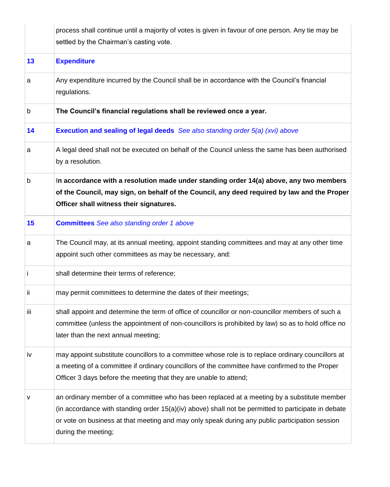|     | process shall continue until a majority of votes is given in favour of one person. Any tie may be<br>settled by the Chairman's casting vote.                                                                                                                                                                                |
|-----|-----------------------------------------------------------------------------------------------------------------------------------------------------------------------------------------------------------------------------------------------------------------------------------------------------------------------------|
| 13  | <b>Expenditure</b>                                                                                                                                                                                                                                                                                                          |
| a   | Any expenditure incurred by the Council shall be in accordance with the Council's financial<br>regulations.                                                                                                                                                                                                                 |
| b   | The Council's financial regulations shall be reviewed once a year.                                                                                                                                                                                                                                                          |
| 14  | <b>Execution and sealing of legal deeds</b> See also standing order 5(a) (xvi) above                                                                                                                                                                                                                                        |
| a   | A legal deed shall not be executed on behalf of the Council unless the same has been authorised<br>by a resolution.                                                                                                                                                                                                         |
| b   | In accordance with a resolution made under standing order 14(a) above, any two members<br>of the Council, may sign, on behalf of the Council, any deed required by law and the Proper<br>Officer shall witness their signatures.                                                                                            |
| 15  | <b>Committees</b> See also standing order 1 above                                                                                                                                                                                                                                                                           |
| a   | The Council may, at its annual meeting, appoint standing committees and may at any other time<br>appoint such other committees as may be necessary, and:                                                                                                                                                                    |
| Ť   | shall determine their terms of reference;                                                                                                                                                                                                                                                                                   |
| -ii | may permit committees to determine the dates of their meetings;                                                                                                                                                                                                                                                             |
| Ϊij | shall appoint and determine the term of office of councillor or non-councillor members of such a<br>committee (unless the appointment of non-councillors is prohibited by law) so as to hold office no<br>later than the next annual meeting;                                                                               |
| iv  | may appoint substitute councillors to a committee whose role is to replace ordinary councillors at<br>a meeting of a committee if ordinary councillors of the committee have confirmed to the Proper<br>Officer 3 days before the meeting that they are unable to attend;                                                   |
| v   | an ordinary member of a committee who has been replaced at a meeting by a substitute member<br>(in accordance with standing order 15(a)(iv) above) shall not be permitted to participate in debate<br>or vote on business at that meeting and may only speak during any public participation session<br>during the meeting; |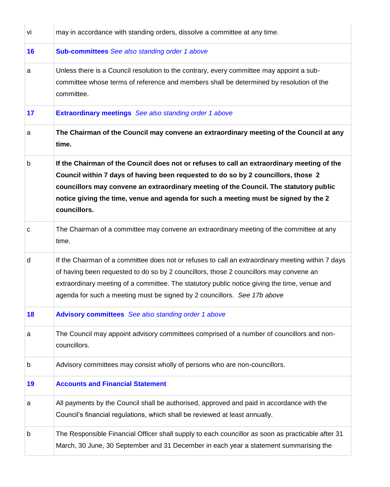| vi | may in accordance with standing orders, dissolve a committee at any time.                                                                                                                                                                                                                                                                                                       |
|----|---------------------------------------------------------------------------------------------------------------------------------------------------------------------------------------------------------------------------------------------------------------------------------------------------------------------------------------------------------------------------------|
| 16 | <b>Sub-committees</b> See also standing order 1 above                                                                                                                                                                                                                                                                                                                           |
| a  | Unless there is a Council resolution to the contrary, every committee may appoint a sub-<br>committee whose terms of reference and members shall be determined by resolution of the<br>committee.                                                                                                                                                                               |
| 17 | <b>Extraordinary meetings</b> See also standing order 1 above                                                                                                                                                                                                                                                                                                                   |
| a  | The Chairman of the Council may convene an extraordinary meeting of the Council at any<br>time.                                                                                                                                                                                                                                                                                 |
| b  | If the Chairman of the Council does not or refuses to call an extraordinary meeting of the<br>Council within 7 days of having been requested to do so by 2 councillors, those 2<br>councillors may convene an extraordinary meeting of the Council. The statutory public<br>notice giving the time, venue and agenda for such a meeting must be signed by the 2<br>councillors. |
| C  | The Chairman of a committee may convene an extraordinary meeting of the committee at any<br>time.                                                                                                                                                                                                                                                                               |
| d  | If the Chairman of a committee does not or refuses to call an extraordinary meeting within 7 days<br>of having been requested to do so by 2 councillors, those 2 councillors may convene an<br>extraordinary meeting of a committee. The statutory public notice giving the time, venue and<br>agenda for such a meeting must be signed by 2 councillors. See 17b above         |
| 18 | <b>Advisory committees</b> See also standing order 1 above                                                                                                                                                                                                                                                                                                                      |
| a  | The Council may appoint advisory committees comprised of a number of councillors and non-<br>councillors.                                                                                                                                                                                                                                                                       |
| b  | Advisory committees may consist wholly of persons who are non-councillors.                                                                                                                                                                                                                                                                                                      |
| 19 | <b>Accounts and Financial Statement</b>                                                                                                                                                                                                                                                                                                                                         |
| a  | All payments by the Council shall be authorised, approved and paid in accordance with the<br>Council's financial regulations, which shall be reviewed at least annually.                                                                                                                                                                                                        |
| b  | The Responsible Financial Officer shall supply to each councillor as soon as practicable after 31<br>March, 30 June, 30 September and 31 December in each year a statement summarising the                                                                                                                                                                                      |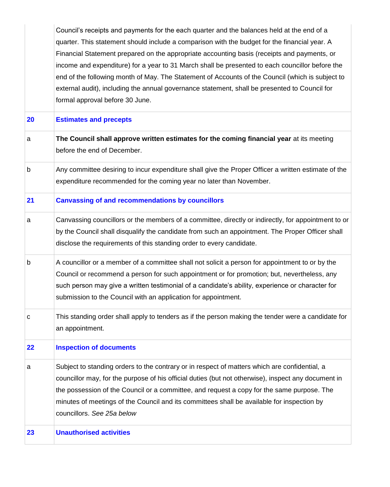|    | Council's receipts and payments for the each quarter and the balances held at the end of a                                                                                                   |
|----|----------------------------------------------------------------------------------------------------------------------------------------------------------------------------------------------|
|    | quarter. This statement should include a comparison with the budget for the financial year. A<br>Financial Statement prepared on the appropriate accounting basis (receipts and payments, or |
|    | income and expenditure) for a year to 31 March shall be presented to each councillor before the                                                                                              |
|    | end of the following month of May. The Statement of Accounts of the Council (which is subject to                                                                                             |
|    | external audit), including the annual governance statement, shall be presented to Council for                                                                                                |
|    | formal approval before 30 June.                                                                                                                                                              |
| 20 | <b>Estimates and precepts</b>                                                                                                                                                                |
| a  | The Council shall approve written estimates for the coming financial year at its meeting<br>before the end of December.                                                                      |
| b  | Any committee desiring to incur expenditure shall give the Proper Officer a written estimate of the                                                                                          |
|    | expenditure recommended for the coming year no later than November.                                                                                                                          |
| 21 | <b>Canvassing of and recommendations by councillors</b>                                                                                                                                      |
| a  | Canvassing councillors or the members of a committee, directly or indirectly, for appointment to or                                                                                          |
|    | by the Council shall disqualify the candidate from such an appointment. The Proper Officer shall                                                                                             |
|    | disclose the requirements of this standing order to every candidate.                                                                                                                         |
| b  | A councillor or a member of a committee shall not solicit a person for appointment to or by the                                                                                              |
|    | Council or recommend a person for such appointment or for promotion; but, nevertheless, any                                                                                                  |
|    | such person may give a written testimonial of a candidate's ability, experience or character for                                                                                             |
|    | submission to the Council with an application for appointment.                                                                                                                               |
| с  | This standing order shall apply to tenders as if the person making the tender were a candidate for                                                                                           |
|    | an appointment.                                                                                                                                                                              |
| 22 | <b>Inspection of documents</b>                                                                                                                                                               |
| a  | Subject to standing orders to the contrary or in respect of matters which are confidential, a                                                                                                |
|    | councillor may, for the purpose of his official duties (but not otherwise), inspect any document in                                                                                          |
|    | the possession of the Council or a committee, and request a copy for the same purpose. The                                                                                                   |
|    | minutes of meetings of the Council and its committees shall be available for inspection by                                                                                                   |
|    | councillors. See 25a below                                                                                                                                                                   |
| 23 | <b>Unauthorised activities</b>                                                                                                                                                               |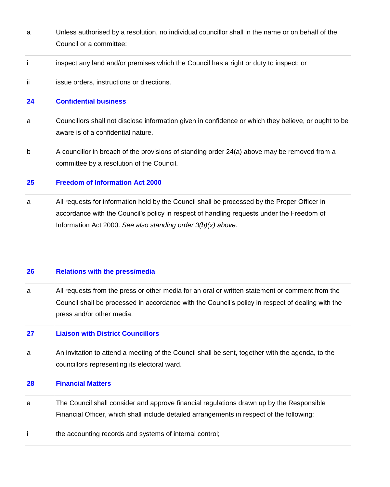| a  | Unless authorised by a resolution, no individual councillor shall in the name or on behalf of the<br>Council or a committee:                                                                                                                                |
|----|-------------------------------------------------------------------------------------------------------------------------------------------------------------------------------------------------------------------------------------------------------------|
| Ť  | inspect any land and/or premises which the Council has a right or duty to inspect; or                                                                                                                                                                       |
| Ϊi | issue orders, instructions or directions.                                                                                                                                                                                                                   |
| 24 | <b>Confidential business</b>                                                                                                                                                                                                                                |
| a  | Councillors shall not disclose information given in confidence or which they believe, or ought to be<br>aware is of a confidential nature.                                                                                                                  |
| b  | A councillor in breach of the provisions of standing order 24(a) above may be removed from a<br>committee by a resolution of the Council.                                                                                                                   |
| 25 | <b>Freedom of Information Act 2000</b>                                                                                                                                                                                                                      |
| a  | All requests for information held by the Council shall be processed by the Proper Officer in<br>accordance with the Council's policy in respect of handling requests under the Freedom of<br>Information Act 2000. See also standing order $3(b)(x)$ above. |
| 26 | <b>Relations with the press/media</b>                                                                                                                                                                                                                       |
| a  | All requests from the press or other media for an oral or written statement or comment from the<br>Council shall be processed in accordance with the Council's policy in respect of dealing with the<br>press and/or other media.                           |
| 27 | <b>Liaison with District Councillors</b>                                                                                                                                                                                                                    |
| a  | An invitation to attend a meeting of the Council shall be sent, together with the agenda, to the<br>councillors representing its electoral ward.                                                                                                            |
| 28 | <b>Financial Matters</b>                                                                                                                                                                                                                                    |
| a  | The Council shall consider and approve financial regulations drawn up by the Responsible<br>Financial Officer, which shall include detailed arrangements in respect of the following:                                                                       |
|    | the accounting records and systems of internal control;                                                                                                                                                                                                     |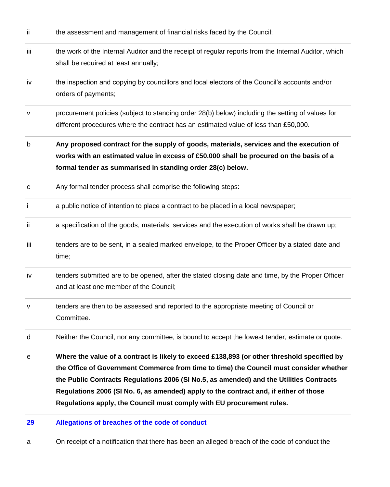| ii   | the assessment and management of financial risks faced by the Council;                                                                                                                                                                                                                                                                                                                                                                             |
|------|----------------------------------------------------------------------------------------------------------------------------------------------------------------------------------------------------------------------------------------------------------------------------------------------------------------------------------------------------------------------------------------------------------------------------------------------------|
| iii. | the work of the Internal Auditor and the receipt of regular reports from the Internal Auditor, which<br>shall be required at least annually;                                                                                                                                                                                                                                                                                                       |
| iv   | the inspection and copying by councillors and local electors of the Council's accounts and/or<br>orders of payments;                                                                                                                                                                                                                                                                                                                               |
| ٧    | procurement policies (subject to standing order 28(b) below) including the setting of values for<br>different procedures where the contract has an estimated value of less than £50,000.                                                                                                                                                                                                                                                           |
| b    | Any proposed contract for the supply of goods, materials, services and the execution of<br>works with an estimated value in excess of £50,000 shall be procured on the basis of a<br>formal tender as summarised in standing order 28(c) below.                                                                                                                                                                                                    |
| с    | Any formal tender process shall comprise the following steps:                                                                                                                                                                                                                                                                                                                                                                                      |
| Ť    | a public notice of intention to place a contract to be placed in a local newspaper;                                                                                                                                                                                                                                                                                                                                                                |
| ĨÎ.  | a specification of the goods, materials, services and the execution of works shall be drawn up;                                                                                                                                                                                                                                                                                                                                                    |
| Ϊij  | tenders are to be sent, in a sealed marked envelope, to the Proper Officer by a stated date and<br>time;                                                                                                                                                                                                                                                                                                                                           |
| iv   | tenders submitted are to be opened, after the stated closing date and time, by the Proper Officer<br>and at least one member of the Council;                                                                                                                                                                                                                                                                                                       |
| v    | tenders are then to be assessed and reported to the appropriate meeting of Council or<br>Committee.                                                                                                                                                                                                                                                                                                                                                |
| d    | Neither the Council, nor any committee, is bound to accept the lowest tender, estimate or quote.                                                                                                                                                                                                                                                                                                                                                   |
| е    | Where the value of a contract is likely to exceed £138,893 (or other threshold specified by<br>the Office of Government Commerce from time to time) the Council must consider whether<br>the Public Contracts Regulations 2006 (SI No.5, as amended) and the Utilities Contracts<br>Regulations 2006 (SI No. 6, as amended) apply to the contract and, if either of those<br>Regulations apply, the Council must comply with EU procurement rules. |
| 29   | Allegations of breaches of the code of conduct                                                                                                                                                                                                                                                                                                                                                                                                     |
| а    | On receipt of a notification that there has been an alleged breach of the code of conduct the                                                                                                                                                                                                                                                                                                                                                      |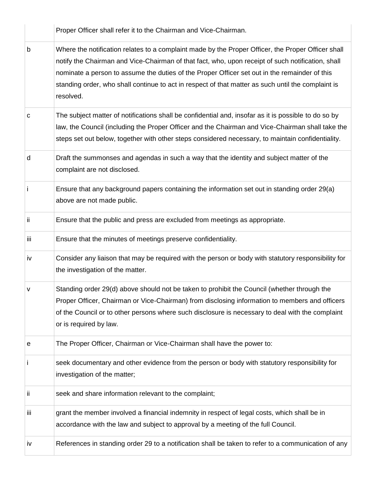|     | Proper Officer shall refer it to the Chairman and Vice-Chairman.                                                                                                                                                                                                                                                                                                                                                            |
|-----|-----------------------------------------------------------------------------------------------------------------------------------------------------------------------------------------------------------------------------------------------------------------------------------------------------------------------------------------------------------------------------------------------------------------------------|
| b   | Where the notification relates to a complaint made by the Proper Officer, the Proper Officer shall<br>notify the Chairman and Vice-Chairman of that fact, who, upon receipt of such notification, shall<br>nominate a person to assume the duties of the Proper Officer set out in the remainder of this<br>standing order, who shall continue to act in respect of that matter as such until the complaint is<br>resolved. |
| c   | The subject matter of notifications shall be confidential and, insofar as it is possible to do so by<br>law, the Council (including the Proper Officer and the Chairman and Vice-Chairman shall take the<br>steps set out below, together with other steps considered necessary, to maintain confidentiality.                                                                                                               |
| d   | Draft the summonses and agendas in such a way that the identity and subject matter of the<br>complaint are not disclosed.                                                                                                                                                                                                                                                                                                   |
| Ť   | Ensure that any background papers containing the information set out in standing order 29(a)<br>above are not made public.                                                                                                                                                                                                                                                                                                  |
| jj. | Ensure that the public and press are excluded from meetings as appropriate.                                                                                                                                                                                                                                                                                                                                                 |
| iii | Ensure that the minutes of meetings preserve confidentiality.                                                                                                                                                                                                                                                                                                                                                               |
| iv  | Consider any liaison that may be required with the person or body with statutory responsibility for<br>the investigation of the matter.                                                                                                                                                                                                                                                                                     |
| v   | Standing order 29(d) above should not be taken to prohibit the Council (whether through the<br>Proper Officer, Chairman or Vice-Chairman) from disclosing information to members and officers<br>of the Council or to other persons where such disclosure is necessary to deal with the complaint<br>or is required by law.                                                                                                 |
| е   | The Proper Officer, Chairman or Vice-Chairman shall have the power to:                                                                                                                                                                                                                                                                                                                                                      |
| j   | seek documentary and other evidence from the person or body with statutory responsibility for<br>investigation of the matter;                                                                                                                                                                                                                                                                                               |
| ii  | seek and share information relevant to the complaint;                                                                                                                                                                                                                                                                                                                                                                       |
| iii | grant the member involved a financial indemnity in respect of legal costs, which shall be in<br>accordance with the law and subject to approval by a meeting of the full Council.                                                                                                                                                                                                                                           |
| İV  | References in standing order 29 to a notification shall be taken to refer to a communication of any                                                                                                                                                                                                                                                                                                                         |